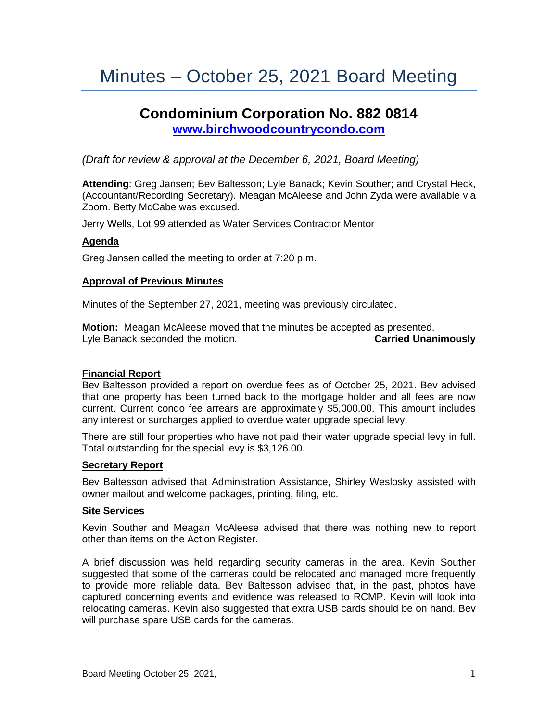# Minutes – October 25, 2021 Board Meeting

# **Condominium Corporation No. 882 0814 [www.birchwoodcountrycondo.com](http://www.birchwoodcountrycondo.com/)**

*(Draft for review & approval at the December 6, 2021, Board Meeting)*

**Attending**: Greg Jansen; Bev Baltesson; Lyle Banack; Kevin Souther; and Crystal Heck, (Accountant/Recording Secretary). Meagan McAleese and John Zyda were available via Zoom. Betty McCabe was excused.

Jerry Wells, Lot 99 attended as Water Services Contractor Mentor

#### **Agenda**

Greg Jansen called the meeting to order at 7:20 p.m.

# **Approval of Previous Minutes**

Minutes of the September 27, 2021, meeting was previously circulated.

**Motion:** Meagan McAleese moved that the minutes be accepted as presented. Lyle Banack seconded the motion. **Carried Unanimously**

#### **Financial Report**

Bev Baltesson provided a report on overdue fees as of October 25, 2021. Bev advised that one property has been turned back to the mortgage holder and all fees are now current. Current condo fee arrears are approximately \$5,000.00. This amount includes any interest or surcharges applied to overdue water upgrade special levy.

There are still four properties who have not paid their water upgrade special levy in full. Total outstanding for the special levy is \$3,126.00.

#### **Secretary Report**

Bev Baltesson advised that Administration Assistance, Shirley Weslosky assisted with owner mailout and welcome packages, printing, filing, etc.

#### **Site Services**

Kevin Souther and Meagan McAleese advised that there was nothing new to report other than items on the Action Register.

A brief discussion was held regarding security cameras in the area. Kevin Souther suggested that some of the cameras could be relocated and managed more frequently to provide more reliable data. Bev Baltesson advised that, in the past, photos have captured concerning events and evidence was released to RCMP. Kevin will look into relocating cameras. Kevin also suggested that extra USB cards should be on hand. Bev will purchase spare USB cards for the cameras.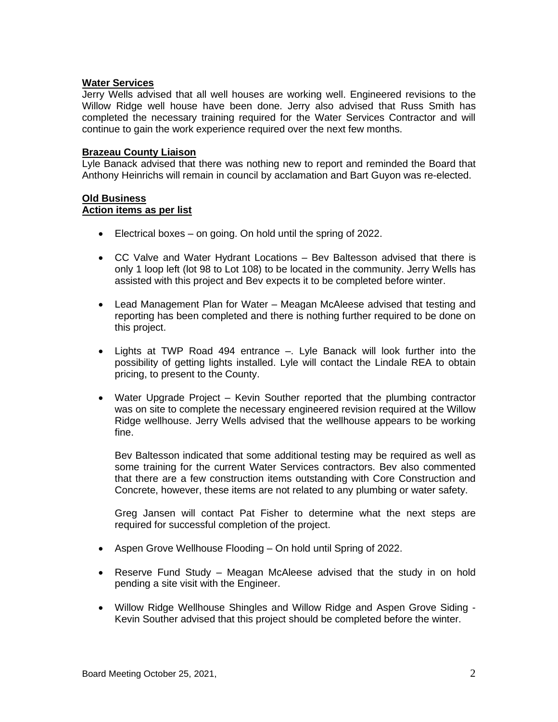#### **Water Services**

Jerry Wells advised that all well houses are working well. Engineered revisions to the Willow Ridge well house have been done. Jerry also advised that Russ Smith has completed the necessary training required for the Water Services Contractor and will continue to gain the work experience required over the next few months.

# **Brazeau County Liaison**

Lyle Banack advised that there was nothing new to report and reminded the Board that Anthony Heinrichs will remain in council by acclamation and Bart Guyon was re-elected.

#### **Old Business Action items as per list**

- Electrical boxes on going. On hold until the spring of 2022.
- CC Valve and Water Hydrant Locations Bev Baltesson advised that there is only 1 loop left (lot 98 to Lot 108) to be located in the community. Jerry Wells has assisted with this project and Bev expects it to be completed before winter.
- Lead Management Plan for Water Meagan McAleese advised that testing and reporting has been completed and there is nothing further required to be done on this project.
- Lights at TWP Road 494 entrance –. Lyle Banack will look further into the possibility of getting lights installed. Lyle will contact the Lindale REA to obtain pricing, to present to the County.
- Water Upgrade Project Kevin Souther reported that the plumbing contractor was on site to complete the necessary engineered revision required at the Willow Ridge wellhouse. Jerry Wells advised that the wellhouse appears to be working fine.

Bev Baltesson indicated that some additional testing may be required as well as some training for the current Water Services contractors. Bev also commented that there are a few construction items outstanding with Core Construction and Concrete, however, these items are not related to any plumbing or water safety.

Greg Jansen will contact Pat Fisher to determine what the next steps are required for successful completion of the project.

- Aspen Grove Wellhouse Flooding On hold until Spring of 2022.
- Reserve Fund Study Meagan McAleese advised that the study in on hold pending a site visit with the Engineer.
- Willow Ridge Wellhouse Shingles and Willow Ridge and Aspen Grove Siding Kevin Souther advised that this project should be completed before the winter.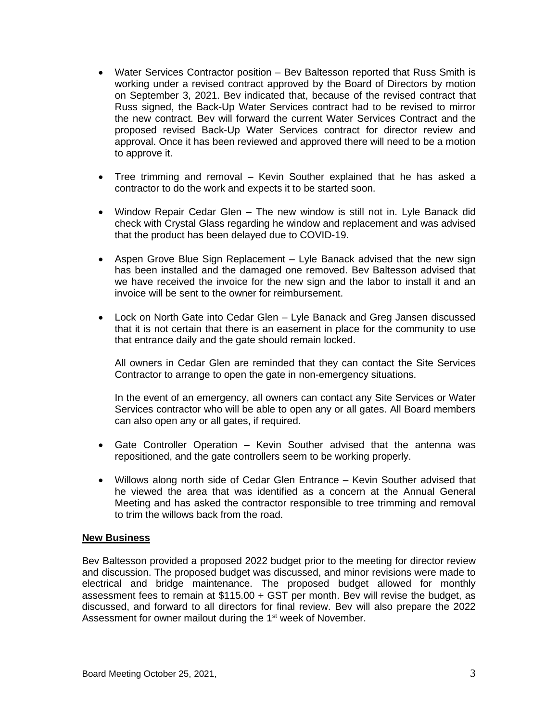- Water Services Contractor position Bev Baltesson reported that Russ Smith is working under a revised contract approved by the Board of Directors by motion on September 3, 2021. Bev indicated that, because of the revised contract that Russ signed, the Back-Up Water Services contract had to be revised to mirror the new contract. Bev will forward the current Water Services Contract and the proposed revised Back-Up Water Services contract for director review and approval. Once it has been reviewed and approved there will need to be a motion to approve it.
- Tree trimming and removal Kevin Souther explained that he has asked a contractor to do the work and expects it to be started soon.
- Window Repair Cedar Glen The new window is still not in. Lyle Banack did check with Crystal Glass regarding he window and replacement and was advised that the product has been delayed due to COVID-19.
- Aspen Grove Blue Sign Replacement Lyle Banack advised that the new sign has been installed and the damaged one removed. Bev Baltesson advised that we have received the invoice for the new sign and the labor to install it and an invoice will be sent to the owner for reimbursement.
- Lock on North Gate into Cedar Glen Lyle Banack and Greg Jansen discussed that it is not certain that there is an easement in place for the community to use that entrance daily and the gate should remain locked.

All owners in Cedar Glen are reminded that they can contact the Site Services Contractor to arrange to open the gate in non-emergency situations.

In the event of an emergency, all owners can contact any Site Services or Water Services contractor who will be able to open any or all gates. All Board members can also open any or all gates, if required.

- Gate Controller Operation Kevin Souther advised that the antenna was repositioned, and the gate controllers seem to be working properly.
- Willows along north side of Cedar Glen Entrance Kevin Souther advised that he viewed the area that was identified as a concern at the Annual General Meeting and has asked the contractor responsible to tree trimming and removal to trim the willows back from the road.

#### **New Business**

Bev Baltesson provided a proposed 2022 budget prior to the meeting for director review and discussion. The proposed budget was discussed, and minor revisions were made to electrical and bridge maintenance. The proposed budget allowed for monthly assessment fees to remain at \$115.00 + GST per month. Bev will revise the budget, as discussed, and forward to all directors for final review. Bev will also prepare the 2022 Assessment for owner mailout during the 1<sup>st</sup> week of November.